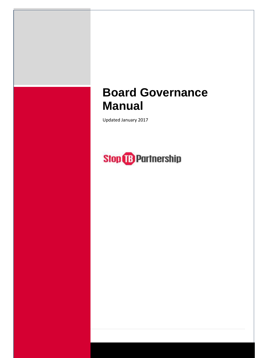# **Board Governance Manual**

Updated January 2017

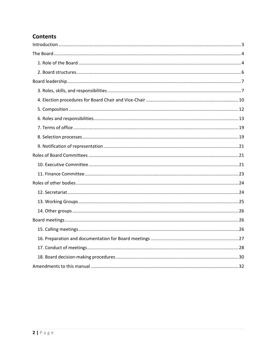# **Contents**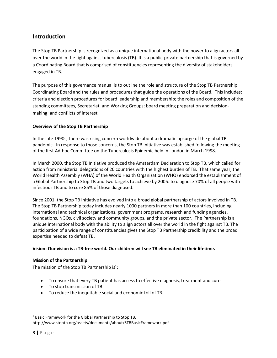# <span id="page-2-0"></span>**Introduction**

The Stop TB Partnership is recognized as a unique international body with the power to align actors all over the world in the fight against tuberculosis (TB). It is a public-private partnership that is governed by a Coordinating Board that is comprised of constituencies representing the diversity of stakeholders engaged in TB.

The purpose of this governance manual is to outline the role and structure of the Stop TB Partnership Coordinating Board and the rules and procedures that guide the operations of the Board. This includes: criteria and election procedures for board leadership and membership; the roles and composition of the standing committees, Secretariat, and Working Groups; board meeting preparation and decisionmaking; and conflicts of interest.

# **Overview of the Stop TB Partnership**

In the late 1990s, there was rising concern worldwide about a dramatic upsurge of the global TB pandemic. In response to those concerns, the Stop TB Initiative was established following the meeting of the first Ad-hoc Committee on the Tuberculosis Epidemic held in London in March 1998.

In March 2000, the Stop TB Initiative produced the Amsterdam Declaration to Stop TB, which called for action from ministerial delegations of 20 countries with the highest burden of TB. That same year, the World Health Assembly (WHA) of the World Health Organization (WHO) endorsed the establishment of a Global Partnership to Stop TB and two targets to achieve by 2005: to diagnose 70% of all people with infectious TB and to cure 85% of those diagnosed.

Since 2001, the Stop TB Initiative has evolved into a broad global partnership of actors involved in TB. The Stop TB Partnership today includes nearly 1000 partners in more than 100 countries, including international and technical organizations, government programs, research and funding agencies, foundations, NGOs, civil society and community groups, and the private sector. The Partnership is a unique international body with the ability to align actors all over the world in the fight against TB. The participation of a wide range of constituencies gives the Stop TB Partnership credibility and the broad expertise needed to defeat TB.

#### **Vision: Our vision is a TB-free world. Our children will see TB eliminated in their lifetime.**

#### **Mission of the Partnership**

The mission of the Stop TB Partnership is<sup>1</sup>:

- To ensure that every TB patient has access to effective diagnosis, treatment and cure.
- To stop transmission of TB.
- To reduce the inequitable social and economic toll of TB.

l

<sup>&</sup>lt;sup>1</sup> Basic Framework for the Global Partnership to Stop TB, http://www.stoptb.org/assets/documents/about/STBBasicFramework.pdf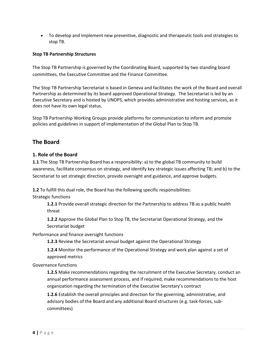To develop and implement new preventive, diagnostic and therapeutic tools and strategies to stop TB.

#### **Stop TB Partnership Structures**

The Stop TB Partnership is governed by the Coordinating Board, supported by two standing board committees, the Executive Committee and the Finance Committee.

The Stop TB Partnership Secretariat is based in Geneva and facilitates the work of the Board and overall Partnership as determined by its board approved Operational Strategy. The Secretariat is led by an Executive Secretary and is hosted by UNOPS, which provides administrative and hosting services, as it does not have its own legal status.

Stop TB Partnership Working Groups provide platforms for communication to inform and promote policies and guidelines in support of implementation of the Global Plan to Stop TB.

# <span id="page-3-0"></span>**The Board**

# <span id="page-3-1"></span>**1. Role of the Board**

**1.1** The Stop TB Partnership Board has a responsibility: a) to the global TB community to build awareness, facilitate consensus on strategy, and identify key strategic issues affecting TB; and b) to the Secretariat to set strategic direction, provide oversight and guidance, and approve budgets.

**1.2** To fulfill this dual role, the Board has the following specific responsibilities:

Strategic functions

**1.2.1** Provide overall strategic direction for the Partnership to address TB as a public health threat

**1.2.2** Approve the Global Plan to Stop TB, the Secretariat Operational Strategy, and the Secretariat budget

Performance and finance oversight functions

**1.2.3** Review the Secretariat annual budget against the Operational Strategy

**1.2.4** Monitor the performance of the Operational Strategy and work plan against a set of approved metrics

Governance functions

**1.2.5** Make recommendations regarding the recruitment of the Executive Secretary, conduct an annual performance assessment process, and if required, make recommendations to the host organization regarding the termination of the Executive Secretary's contract

**1.2.6** Establish the overall principles and direction for the governing, administrative, and advisory bodies of the Board and any additional Board structures (e.g. task-forces, subcommittees)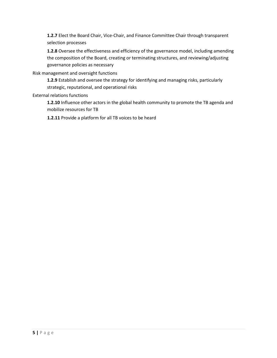**1.2.7** Elect the Board Chair, Vice-Chair, and Finance Committee Chair through transparent selection processes

**1.2.8** Oversee the effectiveness and efficiency of the governance model, including amending the composition of the Board, creating or terminating structures, and reviewing/adjusting governance policies as necessary

Risk management and oversight functions

**1.2.9** Establish and oversee the strategy for identifying and managing risks, particularly strategic, reputational, and operational risks

# External relations functions

**1.2.10** Influence other actors in the global health community to promote the TB agenda and mobilize resources for TB

<span id="page-4-0"></span>**1.2.11** Provide a platform for all TB voices to be heard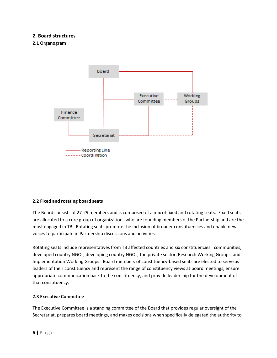# **2. Board structures**

## **2.1 Organogram**



#### **2.2 Fixed and rotating board seats**

The Board consists of 27-29 members and is composed of a mix of fixed and rotating seats. Fixed seats are allocated to a core group of organizations who are founding members of the Partnership and are the most engaged in TB. Rotating seats promote the inclusion of broader constituencies and enable new voices to participate in Partnership discussions and activities.

Rotating seats include representatives from TB affected countries and six constituencies: communities, developed country NGOs, developing country NGOs, the private sector, Research Working Groups, and Implementation Working Groups. Board members of constituency-based seats are elected to serve as leaders of their constituency and represent the range of constituency views at board meetings, ensure appropriate communication back to the constituency, and provide leadership for the development of that constituency.

#### **2.3 Executive Committee**

The Executive Committee is a standing committee of the Board that provides regular oversight of the Secretariat, prepares board meetings, and makes decisions when specifically delegated the authority to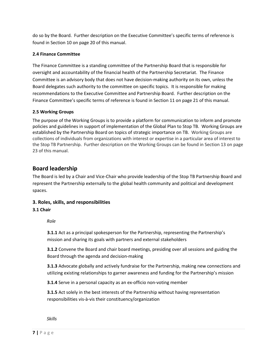do so by the Board. Further description on the Executive Committee's specific terms of reference is found in Section 10 on page 20 of this manual.

# **2.4 Finance Committee**

The Finance Committee is a standing committee of the Partnership Board that is responsible for oversight and accountability of the financial health of the Partnership Secretariat. The Finance Committee is an advisory body that does not have decision-making authority on its own, unless the Board delegates such authority to the committee on specific topics. It is responsible for making recommendations to the Executive Committee and Partnership Board. Further description on the Finance Committee's specific terms of reference is found in Section 11 on page 21 of this manual.

#### **2.5 Working Groups**

The purpose of the Working Groups is to provide a platform for communication to inform and promote policies and guidelines in support of implementation of the Global Plan to Stop TB. Working Groups are established by the Partnership Board on topics of strategic importance on TB. Working Groups are collections of individuals from organizations with interest or expertise in a particular area of interest to the Stop TB Partnership. Further description on the Working Groups can be found in Section 13 on page 23 of this manual.

# <span id="page-6-0"></span>**Board leadership**

The Board is led by a Chair and Vice-Chair who provide leadership of the Stop TB Partnership Board and represent the Partnership externally to the global health community and political and development spaces.

# <span id="page-6-1"></span>**3. Roles, skills, and responsibilities**

# **3.1 Chair**

#### *Role*

**3.1.1** Act as a principal spokesperson for the Partnership, representing the Partnership's mission and sharing its goals with partners and external stakeholders

**3.1.2** Convene the Board and chair board meetings, presiding over all sessions and guiding the Board through the agenda and decision-making

**3.1.3** Advocate globally and actively fundraise for the Partnership, making new connections and utilizing existing relationships to garner awareness and funding for the Partnership's mission

**3.1.4** Serve in a personal capacity as an ex-officio non-voting member

**3.1.5** Act solely in the best interests of the Partnership without having representation responsibilities vis-à-vis their constituency/organization

*Skills*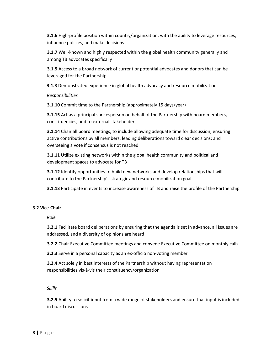**3.1.6** High-profile position within country/organization, with the ability to leverage resources, influence policies, and make decisions

**3.1.7** Well-known and highly respected within the global health community generally and among TB advocates specifically

**3.1.9** Access to a broad network of current or potential advocates and donors that can be leveraged for the Partnership

**3.1.8** Demonstrated experience in global health advocacy and resource mobilization

# *Responsibilities*

**3.1.10** Commit time to the Partnership (approximately 15 days/year)

**3.1.15** Act as a principal spokesperson on behalf of the Partnership with board members, constituencies, and to external stakeholders

**3.1.14** Chair all board meetings, to include allowing adequate time for discussion; ensuring active contributions by all members; leading deliberations toward clear decisions; and overseeing a vote if consensus is not reached

**3.1.11** Utilize existing networks within the global health community and political and development spaces to advocate for TB

**3.1.12** Identify opportunities to build new networks and develop relationships that will contribute to the Partnership's strategic and resource mobilization goals

**3.1.13** Participate in events to increase awareness of TB and raise the profile of the Partnership

# **3.2 Vice-Chair**

*Role*

**3.2.1** Facilitate board deliberations by ensuring that the agenda is set in advance, all issues are addressed, and a diversity of opinions are heard

**3.2.2** Chair Executive Committee meetings and convene Executive Committee on monthly calls

**3.2.3** Serve in a personal capacity as an ex-officio non-voting member

**3.2.4** Act solely in best interests of the Partnership without having representation responsibilities vis-à-vis their constituency/organization

# *Skills*

**3.2.5** Ability to solicit input from a wide range of stakeholders and ensure that input is included in board discussions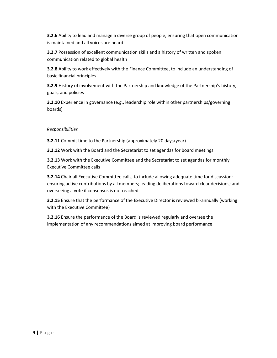**3.2.6** Ability to lead and manage a diverse group of people, ensuring that open communication is maintained and all voices are heard

**3.2.7** Possession of excellent communication skills and a history of written and spoken communication related to global health

**3.2.8** Ability to work effectively with the Finance Committee, to include an understanding of basic financial principles

**3.2.9** History of involvement with the Partnership and knowledge of the Partnership's history, goals, and policies

**3.2.10** Experience in governance (e.g., leadership role within other partnerships/governing boards)

# *Responsibilities*

**3.2.11** Commit time to the Partnership (approximately 20 days/year)

**3.2.12** Work with the Board and the Secretariat to set agendas for board meetings

**3.2.13** Work with the Executive Committee and the Secretariat to set agendas for monthly Executive Committee calls

**3.2.14** Chair all Executive Committee calls, to include allowing adequate time for discussion; ensuring active contributions by all members; leading deliberations toward clear decisions; and overseeing a vote if consensus is not reached

**3.2.15** Ensure that the performance of the Executive Director is reviewed bi-annually (working with the Executive Committee)

**3.2.16** Ensure the performance of the Board is reviewed regularly and oversee the implementation of any recommendations aimed at improving board performance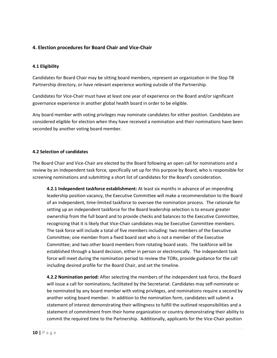# <span id="page-9-0"></span>**4. Election procedures for Board Chair and Vice-Chair**

#### **4.1 Eligibility**

Candidates for Board Chair may be sitting board members, represent an organization in the Stop TB Partnership directory, or have relevant experience working outside of the Partnership.

Candidates for Vice-Chair must have at least one year of experience on the Board and/or significant governance experience in another global health board in order to be eligible.

Any board member with voting privileges may nominate candidates for either position. Candidates are considered eligible for election when they have received a nomination and their nominations have been seconded by another voting board member.

#### **4.2 Selection of candidates**

The Board Chair and Vice-Chair are elected by the Board following an open call for nominations and a review by an independent task force, specifically set up for this purpose by Board, who is responsible for screening nominations and submitting a short list of candidates for the Board's consideration.

**4.2.1 Independent taskforce establishment:** At least six months in advance of an impending leadership position vacancy, the Executive Committee will make a recommendation to the Board of an independent, time-limited taskforce to oversee the nomination process. The rationale for setting up an independent taskforce for the Board leadership selection is to ensure greater ownership from the full board and to provide checks and balances to the Executive Committee, recognizing that it is likely that Vice-Chair candidates may be Executive Committee members. The task force will include a total of five members including: two members of the Executive Committee; one member from a fixed board seat who is not a member of the Executive Committee; and two other board members from rotating board seats. The taskforce will be established through a board decision, either in person or electronically. The independent task force will meet during the nomination period to review the TORs, provide guidance for the call including desired profile for the Board Chair, and set the timeline.

**4.2.2 Nomination period:** After selecting the members of the independent task force, the Board will issue a call for nominations, facilitated by the Secretariat. Candidates may self-nominate or be nominated by any board member with voting privileges, and nominations require a second by another voting board member. In addition to the nomination form, candidates will submit a statement of interest demonstrating their willingness to fulfill the outlined responsibilities and a statement of commitment from their home organization or country demonstrating their ability to commit the required time to the Partnership. Additionally, applicants for the Vice-Chair position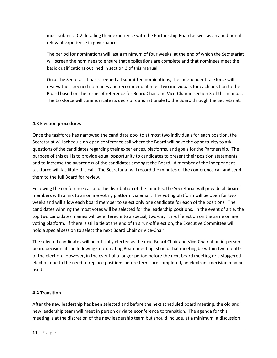must submit a CV detailing their experience with the Partnership Board as well as any additional relevant experience in governance.

The period for nominations will last a minimum of four weeks, at the end of which the Secretariat will screen the nominees to ensure that applications are complete and that nominees meet the basic qualifications outlined in section 3 of this manual.

Once the Secretariat has screened all submitted nominations, the independent taskforce will review the screened nominees and recommend at most two individuals for each position to the Board based on the terms of reference for Board Chair and Vice-Chair in section 3 of this manual. The taskforce will communicate its decisions and rationale to the Board through the Secretariat.

# **4.3 Election procedures**

Once the taskforce has narrowed the candidate pool to at most two individuals for each position, the Secretariat will schedule an open conference call where the Board will have the opportunity to ask questions of the candidates regarding their experiences, platforms, and goals for the Partnership. The purpose of this call is to provide equal opportunity to candidates to present their position statements and to increase the awareness of the candidates amongst the Board. A member of the independent taskforce will facilitate this call. The Secretariat will record the minutes of the conference call and send them to the full Board for review.

Following the conference call and the distribution of the minutes, the Secretariat will provide all board members with a link to an online voting platform via email. The voting platform will be open for two weeks and will allow each board member to select only one candidate for each of the positions. The candidates winning the most votes will be selected for the leadership positions. In the event of a tie, the top two candidates' names will be entered into a special, two-day run-off election on the same online voting platform. If there is still a tie at the end of this run-off election, the Executive Committee will hold a special session to select the next Board Chair or Vice-Chair.

The selected candidates will be officially elected as the next Board Chair and Vice-Chair at an in-person board decision at the following Coordinating Board meeting, should that meeting be within two months of the election. However, in the event of a longer period before the next board meeting or a staggered election due to the need to replace positions before terms are completed, an electronic decision may be used.

# **4.4 Transition**

After the new leadership has been selected and before the next scheduled board meeting, the old and new leadership team will meet in person or via teleconference to transition. The agenda for this meeting is at the discretion of the new leadership team but should include, at a minimum, a discussion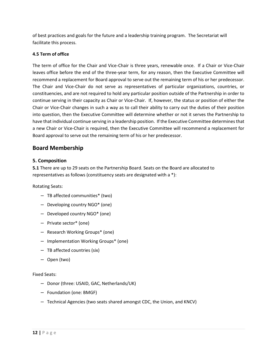of best practices and goals for the future and a leadership training program. The Secretariat will facilitate this process.

# **4.5 Term of office**

The term of office for the Chair and Vice-Chair is three years, renewable once. If a Chair or Vice-Chair leaves office before the end of the three-year term, for any reason, then the Executive Committee will recommend a replacement for Board approval to serve out the remaining term of his or her predecessor. The Chair and Vice-Chair do not serve as representatives of particular organizations, countries, or constituencies, and are not required to hold any particular position outside of the Partnership in order to continue serving in their capacity as Chair or Vice-Chair. If, however, the status or position of either the Chair or Vice-Chair changes in such a way as to call their ability to carry out the duties of their position into question, then the Executive Committee will determine whether or not it serves the Partnership to have that individual continue serving in a leadership position. If the Executive Committee determines that a new Chair or Vice-Chair is required, then the Executive Committee will recommend a replacement for Board approval to serve out the remaining term of his or her predecessor.

# **Board Membership**

# <span id="page-11-0"></span>**5. Composition**

**5.1** There are up to 29 seats on the Partnership Board. Seats on the Board are allocated to representatives as follows (constituency seats are designated with a \*):

Rotating Seats:

- TB affected communities\* (two)
- Developing country NGO\* (one)
- Developed country NGO\* (one)
- Private sector\* (one)
- Research Working Groups\* (one)
- Implementation Working Groups\* (one)
- TB affected countries (six)
- Open (two)

Fixed Seats:

- Donor (three: USAID, GAC, Netherlands/UK)
- Foundation (one: BMGF)
- Technical Agencies (two seats shared amongst CDC, the Union, and KNCV)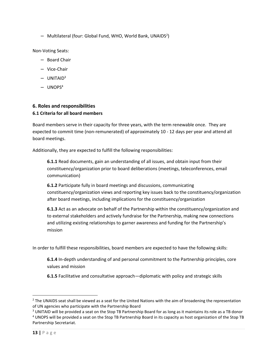- Multilateral (four: Global Fund, WHO, World Bank, UNAIDS<sup>2</sup>)

Non-Voting Seats:

- Board Chair
- Vice-Chair
- $-$  UNITAID<sup>3</sup>
- $-$  UNOPS<sup>4</sup>

# <span id="page-12-0"></span>**6. Roles and responsibilities 6.1 Criteria for all board members**

Board members serve in their capacity for three years, with the term renewable once. They are expected to commit time (non-remunerated) of approximately 10 - 12 days per year and attend all board meetings.

Additionally, they are expected to fulfill the following responsibilities:

**6.1.1** Read documents, gain an understanding of all issues, and obtain input from their constituency/organization prior to board deliberations (meetings, teleconferences, email communication)

**6.1.2** Participate fully in board meetings and discussions, communicating constituency/organization views and reporting key issues back to the constituency/organization after board meetings, including implications for the constituency/organization

**6.1.3** Act as an advocate on behalf of the Partnership within the constituency/organization and to external stakeholders and actively fundraise for the Partnership, making new connections and utilizing existing relationships to garner awareness and funding for the Partnership's mission

In order to fulfill these responsibilities, board members are expected to have the following skills:

**6.1.4** In-depth understanding of and personal commitment to the Partnership principles, core values and mission

**6.1.5** Facilitative and consultative approach—diplomatic with policy and strategic skills

l

 $<sup>2</sup>$  The UNAIDS seat shall be viewed as a seat for the United Nations with the aim of broadening the representation</sup> of UN agencies who participate with the Partnership Board

<sup>&</sup>lt;sup>3</sup> UNITAID will be provided a seat on the Stop TB Partnership Board for as long as it maintains its role as a TB donor <sup>4</sup> UNOPS will be provided a seat on the Stop TB Partnership Board in its capacity as host organization of the Stop TB Partnership Secretariat.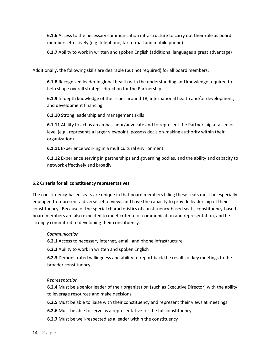**6.1.6** Access to the necessary communication infrastructure to carry out their role as board members effectively (e.g. telephone, fax, e-mail and mobile phone)

**6.1.7** Ability to work in written and spoken English (additional languages a great advantage)

Additionally, the following skills are desirable (but not required) for all board members:

**6.1.8** Recognized leader in global health with the understanding and knowledge required to help shape overall strategic direction for the Partnership

**6.1.9** In-depth knowledge of the issues around TB, international health and/or development, and development financing

**6.1.10** Strong leadership and management skills

**6.1.11** Ability to act as an ambassador/advocate and to represent the Partnership at a senior level (e.g., represents a larger viewpoint, possess decision-making authority within their organization)

**6.1.11** Experience working in a multicultural environment

**6.1.12** Experience serving in partnerships and governing bodies, and the ability and capacity to network effectively and broadly

#### **6.2 Criteria for all constituency representatives**

The constituency-based seats are unique in that board members filling these seats must be especially equipped to represent a diverse set of views and have the capacity to provide leadership of their constituency. Because of the special characteristics of constituency-based seats, constituency-based board members are also expected to meet criteria for communication and representation, and be strongly committed to developing their constituency.

#### *Communication*

**6.2.1** Access to necessary internet, email, and phone infrastructure

**6.2.2** Ability to work in written and spoken English

**6.2.3** Demonstrated willingness and ability to report back the results of key meetings to the broader constituency

#### *Representation*

**6.2.4** Must be a senior leader of their organization (such as Executive Director) with the ability to leverage resources and make decisions

**6.2.5** Must be able to liaise with their constituency and represent their views at meetings

- **6.2.6** Must be able to serve as a representative for the full constituency
- **6.2.7** Must be well-respected as a leader within the constituency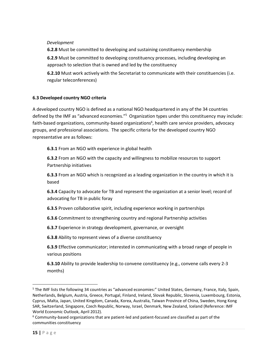### *Development*

**6.2.8** Must be committed to developing and sustaining constituency membership

**6.2.9** Must be committed to developing constituency processes, including developing an approach to selection that is owned and led by the constituency

**6.2.10** Must work actively with the Secretariat to communicate with their constituencies (i.e. regular teleconferences)

#### **6.3 Developed country NGO criteria**

A developed country NGO is defined as a national NGO headquartered in any of the 34 countries defined by the IMF as "advanced economies."<sup>5</sup> Organization types under this constituency may include: faith-based organizations, community-based organizations<sup>6</sup>, health care service providers, advocacy groups, and professional associations. The specific criteria for the developed country NGO representative are as follows:

**6.3.1** From an NGO with experience in global health

**6.3.2** From an NGO with the capacity and willingness to mobilize resources to support Partnership initiatives

**6.3.3** From an NGO which is recognized as a leading organization in the country in which it is based

**6.3.4** Capacity to advocate for TB and represent the organization at a senior level; record of advocating for TB in public foray

**6.3.5** Proven collaborative spirit, including experience working in partnerships

**6.3.6** Commitment to strengthening country and regional Partnership activities

**6.3.7** Experience in strategy development, governance, or oversight

**6.3.8** Ability to represent views of a diverse constituency

**6.3.9** Effective communicator; interested in communicating with a broad range of people in various positions

**6.3.10** Ability to provide leadership to convene constituency (e.g., convene calls every 2-3 months)

 $\overline{\phantom{a}}$ 

<sup>&</sup>lt;sup>5</sup> The IMF lists the following 34 countries as "advanced economies:" United States, Germany, France, Italy, Spain, Netherlands, Belgium, Austria, Greece, Portugal, Finland, Ireland, Slovak Republic, Slovenia, Luxembourg, Estonia, Cyprus, Malta, Japan, United Kingdom, Canada, Korea, Australia, Taiwan Province of China, Sweden, Hong Kong SAR, Switzerland, Singapore, Czech Republic, Norway, Israel, Denmark, New Zealand, Iceland (Reference: IMF World Economic Outlook, April 2012).

 $6$  Community-based organizations that are patient-led and patient-focused are classified as part of the communities constituency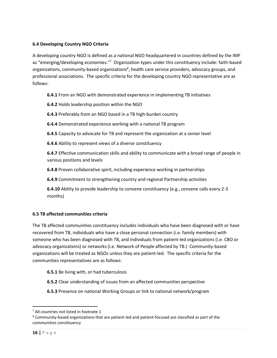# **6.4 Developing Country NGO Criteria**

A developing country NGO is defined as a national NGO headquartered in countries defined by the IMF as "emerging/developing economies."<sup>7</sup> Organization types under this constituency include: faith-based organizations, community-based organizations<sup>8</sup>, health care service providers, advocacy groups, and professional associations. The specific criteria for the developing country NGO representative are as follows:

**6.4.1** From an NGO with demonstrated experience in implementing TB initiatives

**6.4.2** Holds leadership position within the NGO

**6.4.3** Preferably from an NGO based in a TB high-burden country

**6.4.4** Demonstrated experience working with a national TB program

**6.4.5** Capacity to advocate for TB and represent the organization at a senior level

**6.4.6** Ability to represent views of a diverse constituency

**6.4.7** Effective communication skills and ability to communicate with a broad range of people in various positions and levels

**6.4.8** Proven collaborative spirit, including experience working in partnerships

**6.4.9** Commitment to strengthening country and regional Partnership activities

**6.4.10** Ability to provide leadership to convene constituency (e.g., convene calls every 2-3 months)

# **6.5 TB affected communities criteria**

The TB affected communities constituency includes individuals who have been diagnosed with or have recovered from TB, individuals who have a close personal connection (i.e. family members) with someone who has been diagnosed with TB, and individuals from patient-led organizations (i.e. CBO or advocacy organizations) or networks (i.e. Network of People affected by TB.) Community-based organizations will be treated as NGOs unless they are patient-led. The specific criteria for the communities representatives are as follows:

**6.5.1** Be living with, or had tuberculosis

- **6.5.2** Clear understanding of issues from an affected communities perspective
- **6.5.3** Presence on national Working Groups or link to national network/program

 $\overline{\phantom{a}}$ 

 $<sup>7</sup>$  All countries not listed in footnote 1</sup>

 $8$  Community-based organizations that are patient-led and patient-focused are classified as part of the communities constituency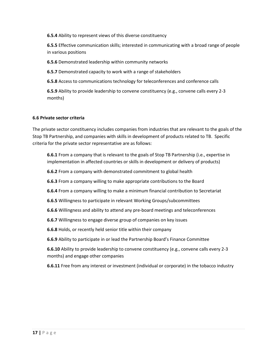**6.5.4** Ability to represent views of this diverse constituency

**6.5.5** Effective communication skills; interested in communicating with a broad range of people in various positions

**6.5.6** Demonstrated leadership within community networks

**6.5.7** Demonstrated capacity to work with a range of stakeholders

**6.5.8** Access to communications technology for teleconferences and conference calls

**6.5.9** Ability to provide leadership to convene constituency (e.g., convene calls every 2-3 months)

#### **6.6 Private sector criteria**

The private sector constituency includes companies from industries that are relevant to the goals of the Stop TB Partnership, and companies with skills in development of products related to TB. Specific criteria for the private sector representative are as follows:

**6.6.1** From a company that is relevant to the goals of Stop TB Partnership (i.e., expertise in implementation in affected countries or skills in development or delivery of products)

**6.6.2** From a company with demonstrated commitment to global health

**6.6.3** From a company willing to make appropriate contributions to the Board

**6.6.4** From a company willing to make a minimum financial contribution to Secretariat

**6.6.5** Willingness to participate in relevant Working Groups/subcommittees

**6.6.6** Willingness and ability to attend any pre-board meetings and teleconferences

**6.6.7** Willingness to engage diverse group of companies on key issues

**6.6.8** Holds, or recently held senior title within their company

**6.6.9** Ability to participate in or lead the Partnership Board's Finance Committee

**6.6.10** Ability to provide leadership to convene constituency (e.g., convene calls every 2-3 months) and engage other companies

**6.6.11** Free from any interest or investment (individual or corporate) in the tobacco industry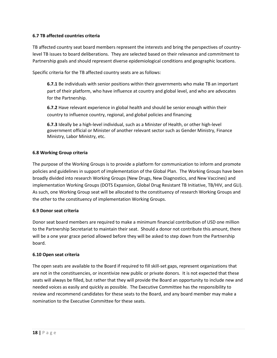# **6.7 TB affected countries criteria**

TB affected country seat board members represent the interests and bring the perspectives of countrylevel TB issues to board deliberations. They are selected based on their relevance and commitment to Partnership goals and should represent diverse epidemiological conditions and geographic locations.

Specific criteria for the TB affected country seats are as follows:

**6.7.1** Be individuals with senior positions within their governments who make TB an important part of their platform, who have influence at country and global level, and who are advocates for the Partnership.

**6.7.2** Have relevant experience in global health and should be senior enough within their country to influence country, regional, and global policies and financing

**6.7.3** Ideally be a high-level individual, such as a Minister of Health, or other high-level government official or Minister of another relevant sector such as Gender Ministry, Finance Ministry, Labor Ministry, etc.

#### **6.8 Working Group criteria**

The purpose of the Working Groups is to provide a platform for communication to inform and promote policies and guidelines in support of implementation of the Global Plan. The Working Groups have been broadly divided into research Working Groups (New Drugs, New Diagnostics, and New Vaccines) and implementation Working Groups (DOTS Expansion, Global Drug Resistant TB Initiative, TB/HIV, and GLI). As such, one Working Group seat will be allocated to the constituency of research Working Groups and the other to the constituency of implementation Working Groups.

#### **6.9 Donor seat criteria**

Donor seat board members are required to make a minimum financial contribution of USD one million to the Partnership Secretariat to maintain their seat. Should a donor not contribute this amount, there will be a one year grace period allowed before they will be asked to step down from the Partnership board.

#### **6.10 Open seat criteria**

The open seats are available to the Board if required to fill skill-set gaps, represent organizations that are not in the constituencies, or incentivize new public or private donors. It is not expected that these seats will always be filled, but rather that they will provide the Board an opportunity to include new and needed voices as easily and quickly as possible. The Executive Committee has the responsibility to review and recommend candidates for these seats to the Board, and any board member may make a nomination to the Executive Committee for these seats.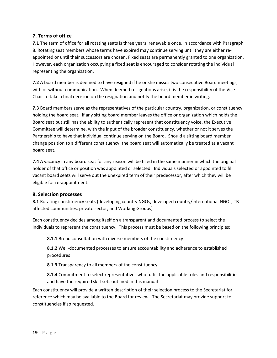# <span id="page-18-0"></span>**7. Terms of office**

**7.1** The term of office for all rotating seats is three years, renewable once, in accordance with Paragraph 8. Rotating seat members whose terms have expired may continue serving until they are either reappointed or until their successors are chosen. Fixed seats are permanently granted to one organization. However, each organization occupying a fixed seat is encouraged to consider rotating the individual representing the organization.

**7.2** A board member is deemed to have resigned if he or she misses two consecutive Board meetings, with or without communication. When deemed resignations arise, it is the responsibility of the Vice-Chair to take a final decision on the resignation and notify the board member in writing.

**7.3** Board members serve as the representatives of the particular country, organization, or constituency holding the board seat. If any sitting board member leaves the office or organization which holds the Board seat but still has the ability to authentically represent that constituency voice, the Executive Committee will determine, with the input of the broader constituency, whether or not it serves the Partnership to have that individual continue serving on the Board. Should a sitting board member change position to a different constituency, the board seat will automatically be treated as a vacant board seat.

**7.4** A vacancy in any board seat for any reason will be filled in the same manner in which the original holder of that office or position was appointed or selected. Individuals selected or appointed to fill vacant board seats will serve out the unexpired term of their predecessor, after which they will be eligible for re-appointment.

# <span id="page-18-1"></span>**8. Selection processes**

**8.1** Rotating constituency seats (developing country NGOs, developed country/international NGOs, TB affected communities, private sector, and Working Groups)

Each constituency decides among itself on a transparent and documented process to select the individuals to represent the constituency. This process must be based on the following principles:

**8.1.1** Broad consultation with diverse members of the constituency

**8.1.2** Well-documented processes to ensure accountability and adherence to established procedures

**8.1.3** Transparency to all members of the constituency

**8.1.4** Commitment to select representatives who fulfill the applicable roles and responsibilities and have the required skill-sets outlined in this manual

Each constituency will provide a written description of their selection process to the Secretariat for reference which may be available to the Board for review. The Secretariat may provide support to constituencies if so requested.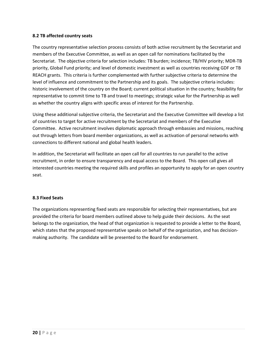#### **8.2 TB affected country seats**

The country representative selection process consists of both active recruitment by the Secretariat and members of the Executive Committee, as well as an open call for nominations facilitated by the Secretariat. The objective criteria for selection includes: TB burden; incidence; TB/HIV priority; MDR-TB priority, Global Fund priority; and level of domestic investment as well as countries receiving GDF or TB REACH grants. This criteria is further complemented with further subjective criteria to determine the level of influence and commitment to the Partnership and its goals. The subjective criteria includes: historic involvement of the country on the Board; current political situation in the country; feasibility for representative to commit time to TB and travel to meetings; strategic value for the Partnership as well as whether the country aligns with specific areas of interest for the Partnership.

Using these additional subjective criteria, the Secretariat and the Executive Committee will develop a list of countries to target for active recruitment by the Secretariat and members of the Executive Committee. Active recruitment involves diplomatic approach through embassies and missions, reaching out through letters from board member organizations, as well as activation of personal networks with connections to different national and global health leaders.

In addition, the Secretariat will facilitate an open call for all countries to run parallel to the active recruitment, in order to ensure transparency and equal access to the Board. This open call gives all interested countries meeting the required skills and profiles an opportunity to apply for an open country seat.

#### **8.3 Fixed Seats**

The organizations representing fixed seats are responsible for selecting their representatives, but are provided the criteria for board members outlined above to help guide their decisions. As the seat belongs to the organization, the head of that organization is requested to provide a letter to the Board, which states that the proposed representative speaks on behalf of the organization, and has decisionmaking authority. The candidate will be presented to the Board for endorsement.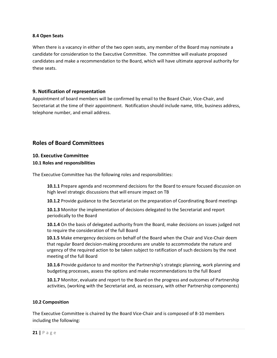#### **8.4 Open Seats**

When there is a vacancy in either of the two open seats, any member of the Board may nominate a candidate for consideration to the Executive Committee. The committee will evaluate proposed candidates and make a recommendation to the Board, which will have ultimate approval authority for these seats.

#### <span id="page-20-0"></span>**9. Notification of representation**

Appointment of board members will be confirmed by email to the Board Chair, Vice-Chair, and Secretariat at the time of their appointment. Notification should include name, title, business address, telephone number, and email address.

# <span id="page-20-1"></span>**Roles of Board Committees**

#### <span id="page-20-2"></span>**10. Executive Committee**

#### **10.1 Roles and responsibilities**

The Executive Committee has the following roles and responsibilities:

**10.1.1** Prepare agenda and recommend decisions for the Board to ensure focused discussion on high level strategic discussions that will ensure impact on TB

**10.1.2** Provide guidance to the Secretariat on the preparation of Coordinating Board meetings

**10.1.3** Monitor the implementation of decisions delegated to the Secretariat and report periodically to the Board

**10.1.4** On the basis of delegated authority from the Board, make decisions on issues judged not to require the consideration of the full Board

**10.1.5** Make emergency decisions on behalf of the Board when the Chair and Vice-Chair deem that regular Board decision-making procedures are unable to accommodate the nature and urgency of the required action to be taken subject to ratification of such decisions by the next meeting of the full Board

**10.1.6** Provide guidance to and monitor the Partnership's strategic planning, work planning and budgeting processes, assess the options and make recommendations to the full Board

**10.1.7** Monitor, evaluate and report to the Board on the progress and outcomes of Partnership activities, (working with the Secretariat and, as necessary, with other Partnership components)

#### **10.2 Composition**

The Executive Committee is chaired by the Board Vice-Chair and is composed of 8-10 members including the following: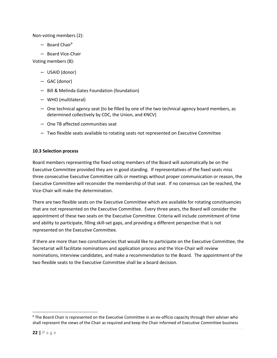Non-voting members (2):

- $-$  Board Chair<sup>9</sup>
- Board Vice-Chair

Voting members (8):

- USAID (donor)
- GAC (donor)
- Bill & Melinda Gates Foundation (foundation)
- WHO (multilateral)
- One technical agency seat (to be filled by one of the two technical agency board members, as determined collectively by CDC, the Union, and KNCV)
- One TB affected communities seat
- Two flexible seats available to rotating seats not represented on Executive Committee

#### **10.3 Selection process**

Board members representing the fixed voting members of the Board will automatically be on the Executive Committee provided they are in good standing. If representatives of the fixed seats miss three consecutive Executive Committee calls or meetings without proper communication or reason, the Executive Committee will reconsider the membership of that seat. If no consensus can be reached, the Vice-Chair will make the determination.

There are two flexible seats on the Executive Committee which are available for rotating constituencies that are not represented on the Executive Committee. Every three years, the Board will consider the appointment of these two seats on the Executive Committee. Criteria will include commitment of time and ability to participate, filling skill-set gaps, and providing a different perspective that is not represented on the Executive Committee.

If there are more than two constituencies that would like to participate on the Executive Committee, the Secretariat will facilitate nominations and application process and the Vice-Chair will review nominations, interview candidates, and make a recommendation to the Board. The appointment of the two flexible seats to the Executive Committee shall be a board decision.

<span id="page-21-0"></span>l

<sup>9</sup> The Board Chair is represented on the Executive Committee in an ex-officio capacity through their adviser who shall represent the views of the Chair as required and keep the Chair informed of Executive Committee business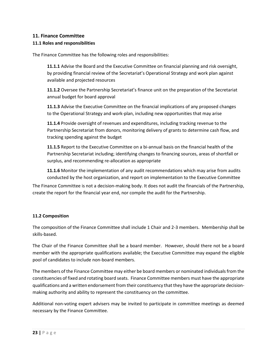# **11. Finance Committee**

## **11.1 Roles and responsibilities**

The Finance Committee has the following roles and responsibilities:

**11.1.1** Advise the Board and the Executive Committee on financial planning and risk oversight, by providing financial review of the Secretariat's Operational Strategy and work plan against available and projected resources

**11.1.2** Oversee the Partnership Secretariat's finance unit on the preparation of the Secretariat annual budget for board approval

**11.1.3** Advise the Executive Committee on the financial implications of any proposed changes to the Operational Strategy and work-plan, including new opportunities that may arise

**11.1.4** Provide oversight of revenues and expenditures, including tracking revenue to the Partnership Secretariat from donors, monitoring delivery of grants to determine cash flow, and tracking spending against the budget

**11.1.5** Report to the Executive Committee on a bi-annual basis on the financial health of the Partnership Secretariat including; identifying changes to financing sources, areas of shortfall or surplus, and recommending re-allocation as appropriate

**11.1.6** Monitor the implementation of any audit recommendations which may arise from audits conducted by the host organization, and report on implementation to the Executive Committee

The Finance Committee is not a decision-making body. It does not audit the financials of the Partnership, create the report for the financial year end, nor compile the audit for the Partnership.

#### **11.2 Composition**

The composition of the Finance Committee shall include 1 Chair and 2-3 members. Membership shall be skills-based.

The Chair of the Finance Committee shall be a board member. However, should there not be a board member with the appropriate qualifications available; the Executive Committee may expand the eligible pool of candidates to include non-board members.

The members of the Finance Committee may either be board members or nominated individuals from the constituencies of fixed and rotating board seats. Finance Committee members must have the appropriate qualifications and a written endorsement from their constituency that they have the appropriate decisionmaking authority and ability to represent the constituency on the committee.

Additional non-voting expert advisers may be invited to participate in committee meetings as deemed necessary by the Finance Committee.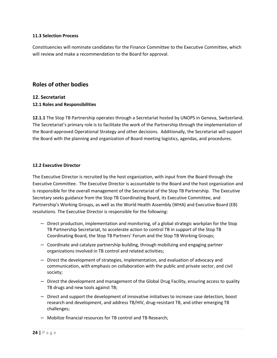#### **11.3 Selection Process**

Constituencies will nominate candidates for the Finance Committee to the Executive Committee, which will review and make a recommendation to the Board for approval.

# <span id="page-23-0"></span>**Roles of other bodies**

#### <span id="page-23-1"></span>**12. Secretariat**

#### **12.1 Roles and Responsibilities**

**12.1.1** The Stop TB Partnership operates through a Secretariat hosted by UNOPS in Geneva, Switzerland. The Secretariat's primary role is to facilitate the work of the Partnership through the implementation of the Board-approved Operational Strategy and other decisions. Additionally, the Secretariat will support the Board with the planning and organization of Board meeting logistics, agendas, and procedures.

#### **12.2 Executive Director**

The Executive Director is recruited by the host organization, with input from the Board through the Executive Committee. The Executive Director is accountable to the Board and the host organization and is responsible for the overall management of the Secretariat of the Stop TB Partnership. The Executive Secretary seeks guidance from the Stop TB Coordinating Board, its Executive Committee, and Partnership's Working Groups, as well as the World Health Assembly (WHA) and Executive Board (EB) resolutions. The Executive Director is responsible for the following:

- Direct production, implementation and monitoring, of a global strategic workplan for the Stop TB Partnership Secretariat, to accelerate action to control TB in support of the Stop TB Coordinating Board, the Stop TB Partners' Forum and the Stop TB Working Groups;
- Coordinate and catalyze partnership building, through mobilizing and engaging partner organizations involved in TB control and related activities;
- Direct the development of strategies, implementation, and evaluation of advocacy and communication, with emphasis on collaboration with the public and private sector, and civil society;
- Direct the development and management of the Global Drug Facility, ensuring access to quality TB drugs and new tools against TB;
- Direct and support the development of innovative initiatives to increase case detection, boost research and development, and address TB/HIV, drug-resistant TB, and other emerging TB challenges;
- Mobilize financial resources for TB control and TB Research;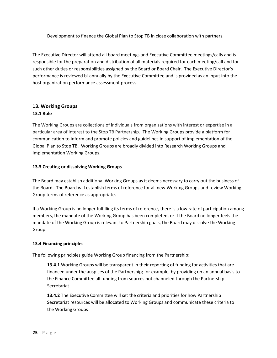– Development to finance the Global Plan to Stop TB in close collaboration with partners.

The Executive Director will attend all board meetings and Executive Committee meetings/calls and is responsible for the preparation and distribution of all materials required for each meeting/call and for such other duties or responsibilities assigned by the Board or Board Chair. The Executive Director's performance is reviewed bi-annually by the Executive Committee and is provided as an input into the host organization performance assessment process.

# <span id="page-24-0"></span>**13. Working Groups**

# **13.1 Role**

The Working Groups are collections of individuals from organizations with interest or expertise in a particular area of interest to the Stop TB Partnership. The Working Groups provide a platform for communication to inform and promote policies and guidelines in support of implementation of the Global Plan to Stop TB. Working Groups are broadly divided into Research Working Groups and Implementation Working Groups.

# **13.3 Creating or dissolving Working Groups**

The Board may establish additional Working Groups as it deems necessary to carry out the business of the Board. The Board will establish terms of reference for all new Working Groups and review Working Group terms of reference as appropriate.

If a Working Group is no longer fulfilling its terms of reference, there is a low rate of participation among members, the mandate of the Working Group has been completed, or if the Board no longer feels the mandate of the Working Group is relevant to Partnership goals, the Board may dissolve the Working Group.

# **13.4 Financing principles**

The following principles guide Working Group financing from the Partnership:

**13.4.1** Working Groups will be transparent in their reporting of funding for activities that are financed under the auspices of the Partnership; for example, by providing on an annual basis to the Finance Committee all funding from sources not channeled through the Partnership Secretariat

**13.4.2** The Executive Committee will set the criteria and priorities for how Partnership Secretariat resources will be allocated to Working Groups and communicate these criteria to the Working Groups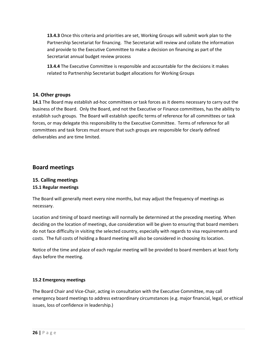**13.4.3** Once this criteria and priorities are set, Working Groups will submit work plan to the Partnership Secretariat for financing. The Secretariat will review and collate the information and provide to the Executive Committee to make a decision on financing as part of the Secretariat annual budget review process

**13.4.4** The Executive Committee is responsible and accountable for the decisions it makes related to Partnership Secretariat budget allocations for Working Groups

# <span id="page-25-0"></span>**14. Other groups**

**14.1** The Board may establish ad-hoc committees or task forces as it deems necessary to carry out the business of the Board. Only the Board, and not the Executive or Finance committees, has the ability to establish such groups. The Board will establish specific terms of reference for all committees or task forces, or may delegate this responsibility to the Executive Committee. Terms of reference for all committees and task forces must ensure that such groups are responsible for clearly defined deliverables and are time limited.

# <span id="page-25-1"></span>**Board meetings**

# <span id="page-25-2"></span>**15. Calling meetings 15.1 Regular meetings**

The Board will generally meet every nine months, but may adjust the frequency of meetings as necessary.

Location and timing of board meetings will normally be determined at the preceding meeting. When deciding on the location of meetings, due consideration will be given to ensuring that board members do not face difficulty in visiting the selected country, especially with regards to visa requirements and costs. The full costs of holding a Board meeting will also be considered in choosing its location.

Notice of the time and place of each regular meeting will be provided to board members at least forty days before the meeting.

# **15.2 Emergency meetings**

The Board Chair and Vice-Chair, acting in consultation with the Executive Committee, may call emergency board meetings to address extraordinary circumstances (e.g. major financial, legal, or ethical issues, loss of confidence in leadership.)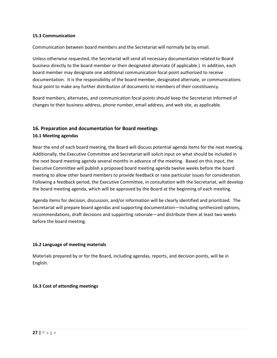#### **15.3 Communication**

Communication between board members and the Secretariat will normally be by email.

Unless otherwise requested, the Secretariat will send all necessary documentation related to Board business directly to the board member or their designated alternate (if applicable.) In addition, each board member may designate one additional communication focal point authorized to receive documentation. It is the responsibility of the board member, designated alternate, or communications focal point to make any further distribution of documents to members of their constituency.

Board members, alternates, and communication focal points should keep the Secretariat informed of changes to their business address, phone number, email address, and web site, as applicable.

# <span id="page-26-0"></span>**16. Preparation and documentation for Board meetings 16.1 Meeting agendas**

Near the end of each board meeting, the Board will discuss potential agenda items for the next meeting. Additionally, the Executive Committee and Secretariat will solicit input on what should be included in the next board meeting agenda several months in advance of the meeting. Based on this input, the Executive Committee will publish a proposed board meeting agenda twelve weeks before the board meeting to allow other board members to provide feedback or raise particular issues for consideration. Following a feedback period, the Executive Committee, in consultation with the Secretariat, will develop the board meeting agenda, which will be approved by the Board at the beginning of each meeting.

Agenda items for decision, discussion, and/or information will be clearly identified and prioritized. The Secretariat will prepare board agendas and supporting documentation—including synthesized options, recommendations, draft decisions and supporting rationale—and distribute them at least two weeks before the board meeting.

#### **16.2 Language of meeting materials**

Materials prepared by or for the Board, including agendas, reports, and decision points, will be in English.

#### **16.3 Cost of attending meetings**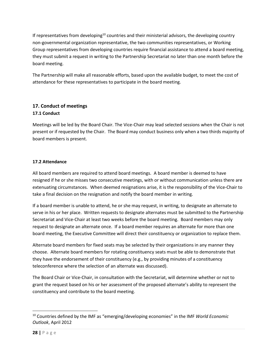If representatives from developing<sup>10</sup> countries and their ministerial advisors, the developing country non-governmental organization representative, the two communities representatives, or Working Group representatives from developing countries require financial assistance to attend a board meeting, they must submit a request in writing to the Partnership Secretariat no later than one month before the board meeting.

The Partnership will make all reasonable efforts, based upon the available budget, to meet the cost of attendance for these representatives to participate in the board meeting.

# <span id="page-27-0"></span>**17. Conduct of meetings 17.1 Conduct**

Meetings will be led by the Board Chair. The Vice-Chair may lead selected sessions when the Chair is not present or if requested by the Chair. The Board may conduct business only when a two thirds majority of board members is present.

# **17.2 Attendance**

All board members are required to attend board meetings. A board member is deemed to have resigned if he or she misses two consecutive meetings, with or without communication unless there are extenuating circumstances. When deemed resignations arise, it is the responsibility of the Vice-Chair to take a final decision on the resignation and notify the board member in writing.

If a board member is unable to attend, he or she may request, in writing, to designate an alternate to serve in his or her place. Written requests to designate alternates must be submitted to the Partnership Secretariat and Vice-Chair at least two weeks before the board meeting. Board members may only request to designate an alternate once. If a board member requires an alternate for more than one board meeting, the Executive Committee will direct their constituency or organization to replace them.

Alternate board members for fixed seats may be selected by their organizations in any manner they choose. Alternate board members for rotating constituency seats must be able to demonstrate that they have the endorsement of their constituency (e.g., by providing minutes of a constituency teleconference where the selection of an alternate was discussed).

The Board Chair or Vice-Chair, in consultation with the Secretariat, will determine whether or not to grant the request based on his or her assessment of the proposed alternate's ability to represent the constituency and contribute to the board meeting.

 $\overline{\phantom{a}}$ 

<sup>10</sup> Countries defined by the IMF as "emerging/developing economies" in the IMF *World Economic Outlook*, April 2012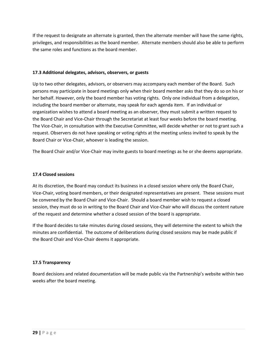If the request to designate an alternate is granted, then the alternate member will have the same rights, privileges, and responsibilities as the board member. Alternate members should also be able to perform the same roles and functions as the board member.

#### **17.3 Additional delegates, advisors, observers, or guests**

Up to two other delegates, advisors, or observers may accompany each member of the Board. Such persons may participate in board meetings only when their board member asks that they do so on his or her behalf. However, only the board member has voting rights. Only one individual from a delegation, including the board member or alternate, may speak for each agenda item. If an individual or organization wishes to attend a board meeting as an observer, they must submit a written request to the Board Chair and Vice-Chair through the Secretariat at least four weeks before the board meeting. The Vice-Chair, in consultation with the Executive Committee, will decide whether or not to grant such a request. Observers do not have speaking or voting rights at the meeting unless invited to speak by the Board Chair or Vice-Chair, whoever is leading the session.

The Board Chair and/or Vice-Chair may invite guests to board meetings as he or she deems appropriate.

#### **17.4 Closed sessions**

At its discretion, the Board may conduct its business in a closed session where only the Board Chair, Vice-Chair, voting board members, or their designated representatives are present. These sessions must be convened by the Board Chair and Vice-Chair. Should a board member wish to request a closed session, they must do so in writing to the Board Chair and Vice-Chair who will discuss the content nature of the request and determine whether a closed session of the board is appropriate.

If the Board decides to take minutes during closed sessions, they will determine the extent to which the minutes are confidential. The outcome of deliberations during closed sessions may be made public if the Board Chair and Vice-Chair deems it appropriate.

#### **17.5 Transparency**

<span id="page-28-0"></span>Board decisions and related documentation will be made public via the Partnership's website within two weeks after the board meeting.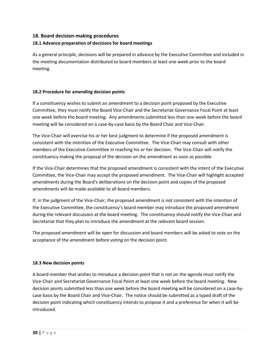# **18. Board decision-making procedures**

# **18.1 Advance preparation of decisions for board meetings**

As a general principle, decisions will be prepared in advance by the Executive Committee and included in the meeting documentation distributed to board members at least one week prior to the board meeting.

### **18.2 Procedure for amending decision points**

If a constituency wishes to submit an amendment to a decision point proposed by the Executive Committee, they must notify the Board Vice-Chair and the Secretariat Governance Focal Point at least one week before the board meeting. Any amendments submitted less than one week before the board meeting will be considered on a case-by-case basis by the Board Chair and Vice-Chair.

The Vice-Chair will exercise his or her best judgment to determine if the proposed amendment is consistent with the intention of the Executive Committee. The Vice-Chair may consult with other members of the Executive Committee in reaching his or her decision. The Vice-Chair will notify the constituency making the proposal of the decision on the amendment as soon as possible.

If the Vice-Chair determines that the proposed amendment is consistent with the intent of the Executive Committee, the Vice-Chair may accept the proposed amendment. The Vice-Chair will highlight accepted amendments during the Board's deliberations on the decision point and copies of the proposed amendments will be made available to all board members.

If, in the judgment of the Vice-Chair, the proposed amendment is not consistent with the intention of the Executive Committee, the constituency's board member may introduce the proposed amendment during the relevant discussion at the board meeting. The constituency should notify the Vice-Chair and Secretariat that they plan to introduce the amendment at the relevant board session.

The proposed amendment will be open for discussion and board members will be asked to vote on the acceptance of the amendment before voting on the decision point.

#### **18.3 New decision points**

A board member that wishes to introduce a decision point that is not on the agenda must notify the Vice-Chair and Secretariat Governance Focal Point at least one week before the board meeting. New decision points submitted less than one week before the board meeting will be considered on a case-bycase basis by the Board Chair and Vice-Chair. The notice should be submitted as a typed draft of the decision point indicating which constituency intends to propose it and a preference for when it will be introduced.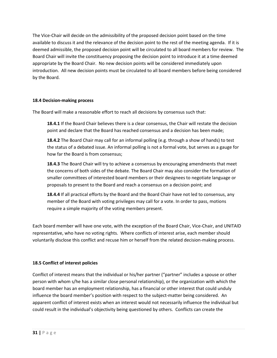The Vice-Chair will decide on the admissibility of the proposed decision point based on the time available to discuss it and the relevance of the decision point to the rest of the meeting agenda. If it is deemed admissible, the proposed decision point will be circulated to all board members for review. The Board Chair will invite the constituency proposing the decision point to introduce it at a time deemed appropriate by the Board Chair. No new decision points will be considered immediately upon introduction. All new decision points must be circulated to all board members before being considered by the Board.

#### **18.4 Decision-making process**

The Board will make a reasonable effort to reach all decisions by consensus such that:

**18.4.1** If the Board Chair believes there is a clear consensus, the Chair will restate the decision point and declare that the Board has reached consensus and a decision has been made;

**18.4.2** The Board Chair may call for an informal polling (e.g. through a show of hands) to test the status of a debated issue. An informal polling is not a formal vote, but serves as a gauge for how far the Board is from consensus;

**18.4.3** The Board Chair will try to achieve a consensus by encouraging amendments that meet the concerns of both sides of the debate. The Board Chair may also consider the formation of smaller committees of interested board members or their designees to negotiate language or proposals to present to the Board and reach a consensus on a decision point; and

**18.4.4** If all practical efforts by the Board and the Board Chair have not led to consensus, any member of the Board with voting privileges may call for a vote. In order to pass, motions require a simple majority of the voting members present.

Each board member will have one vote, with the exception of the Board Chair, Vice-Chair, and UNITAID representative, who have no voting rights. Where conflicts of interest arise, each member should voluntarily disclose this conflict and recuse him or herself from the related decision-making process.

#### **18.5 Conflict of interest policies**

Conflict of interest means that the individual or his/her partner ("partner" includes a spouse or other person with whom s/he has a similar close personal relationship), or the organization with which the board member has an employment relationship, has a financial or other interest that could unduly influence the board member's position with respect to the subject-matter being considered. An apparent conflict of interest exists when an interest would not necessarily influence the individual but could result in the individual's objectivity being questioned by others. Conflicts can create the